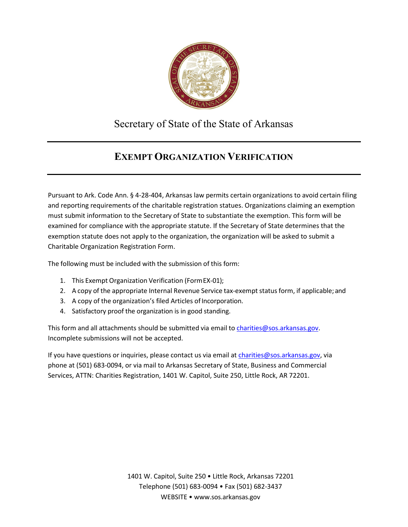

## Secretary of State of the State of Arkansas

## **EXEMPT ORGANIZATION VERIFICATION**

Pursuant to Ark. Code Ann. § 4-28-404, Arkansas law permits certain organizations to avoid certain filing and reporting requirements of the charitable registration statues. Organizations claiming an exemption must submit information to the Secretary of State to substantiate the exemption. This form will be examined for compliance with the appropriate statute. If the Secretary of State determines that the exemption statute does not apply to the organization, the organization will be asked to submit a Charitable Organization Registration Form.

The following must be included with the submission of this form:

- 1. This Exempt Organization Verification (FormEX-01);
- 2. A copy of the appropriate Internal Revenue Service tax-exempt status form, if applicable; and
- 3. A copy of the organization's filed Articles of Incorporation.
- 4. Satisfactory proof the organization is in good standing.

This form and all attachments should be submitted via email to [charities@sos.arkansas.gov.](mailto:charities@sos.arkansas.gov) Incomplete submissions will not be accepted.

If you have questions or inquiries, please contact us via email at [charities@sos.arkansas.gov, v](mailto:charities@sos.arkansas.gov)ia phone at (501) 683-0094, or via mail to Arkansas Secretary of State, Business and Commercial Services, ATTN: Charities Registration, 1401 W. Capitol, Suite 250, Little Rock, AR 72201.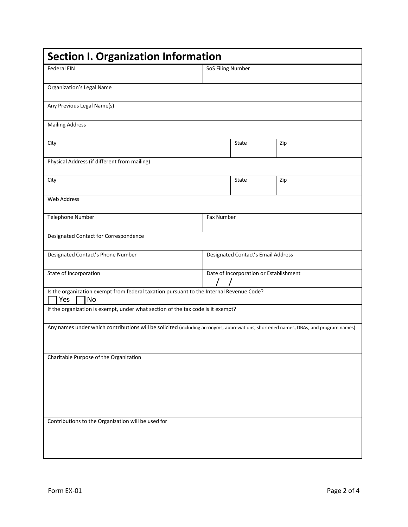| <b>Federal EIN</b>                                                                                                                  | SoS Filing Number                      |     |  |
|-------------------------------------------------------------------------------------------------------------------------------------|----------------------------------------|-----|--|
| <b>Organization's Legal Name</b>                                                                                                    |                                        |     |  |
| Any Previous Legal Name(s)                                                                                                          |                                        |     |  |
| <b>Mailing Address</b>                                                                                                              |                                        |     |  |
| City                                                                                                                                | State                                  | Zip |  |
|                                                                                                                                     |                                        |     |  |
| Physical Address (if different from mailing)                                                                                        |                                        |     |  |
| City                                                                                                                                | State                                  | Zip |  |
| Web Address                                                                                                                         |                                        |     |  |
| Telephone Number                                                                                                                    | Fax Number                             |     |  |
| Designated Contact for Correspondence                                                                                               |                                        |     |  |
| Designated Contact's Phone Number                                                                                                   | Designated Contact's Email Address     |     |  |
| State of Incorporation                                                                                                              | Date of Incorporation or Establishment |     |  |
| Is the organization exempt from federal taxation pursuant to the Internal Revenue Code?<br>Yes<br>No                                |                                        |     |  |
| If the organization is exempt, under what section of the tax code is it exempt?                                                     |                                        |     |  |
| Any names under which contributions will be solicited (including acronyms, abbreviations, shortened names, DBAs, and program names) |                                        |     |  |
|                                                                                                                                     |                                        |     |  |
| Charitable Purpose of the Organization                                                                                              |                                        |     |  |
|                                                                                                                                     |                                        |     |  |
|                                                                                                                                     |                                        |     |  |
|                                                                                                                                     |                                        |     |  |
|                                                                                                                                     |                                        |     |  |
|                                                                                                                                     |                                        |     |  |
| Contributions to the Organization will be used for                                                                                  |                                        |     |  |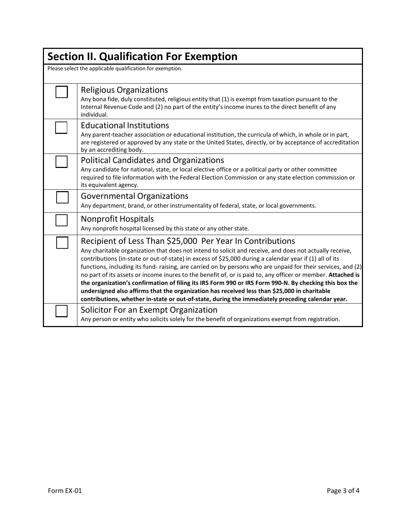| <b>Section II. Qualification For Exemption</b>            |                                                                                                                                                                                                                                                                                                                                                                                                                                                                                                                                                                                                                                                                                                                                                                                                                             |  |  |  |  |
|-----------------------------------------------------------|-----------------------------------------------------------------------------------------------------------------------------------------------------------------------------------------------------------------------------------------------------------------------------------------------------------------------------------------------------------------------------------------------------------------------------------------------------------------------------------------------------------------------------------------------------------------------------------------------------------------------------------------------------------------------------------------------------------------------------------------------------------------------------------------------------------------------------|--|--|--|--|
| Please select the applicable qualification for exemption. |                                                                                                                                                                                                                                                                                                                                                                                                                                                                                                                                                                                                                                                                                                                                                                                                                             |  |  |  |  |
|                                                           | <b>Religious Organizations</b><br>Any bona fide, duly constituted, religious entity that (1) is exempt from taxation pursuant to the<br>Internal Revenue Code and (2) no part of the entity's income inures to the direct benefit of any<br>individual.                                                                                                                                                                                                                                                                                                                                                                                                                                                                                                                                                                     |  |  |  |  |
|                                                           | <b>Educational Institutions</b><br>Any parent-teacher association or educational institution, the curricula of which, in whole or in part,<br>are registered or approved by any state or the United States, directly, or by acceptance of accreditation<br>by an accrediting body.                                                                                                                                                                                                                                                                                                                                                                                                                                                                                                                                          |  |  |  |  |
|                                                           | <b>Political Candidates and Organizations</b><br>Any candidate for national, state, or local elective office or a political party or other committee<br>required to file information with the Federal Election Commission or any state election commission or<br>its equivalent agency.                                                                                                                                                                                                                                                                                                                                                                                                                                                                                                                                     |  |  |  |  |
|                                                           | <b>Governmental Organizations</b><br>Any department, brand, or other instrumentality of federal, state, or local governments.                                                                                                                                                                                                                                                                                                                                                                                                                                                                                                                                                                                                                                                                                               |  |  |  |  |
|                                                           | Nonprofit Hospitals<br>Any nonprofit hospital licensed by this state or any other state.                                                                                                                                                                                                                                                                                                                                                                                                                                                                                                                                                                                                                                                                                                                                    |  |  |  |  |
|                                                           | Recipient of Less Than \$25,000 Per Year In Contributions<br>Any charitable organization that does not intend to solicit and receive, and does not actually receive,<br>contributions (in-state or out-of-state) in excess of \$25,000 during a calendar year if (1) all of its<br>functions, including its fund-raising, are carried on by persons who are unpaid for their services, and (2)<br>no part of its assets or income inures to the benefit of, or is paid to, any officer or member. Attached is<br>the organization's confirmation of filing its IRS Form 990 or IRS Form 990-N. By checking this box the<br>undersigned also affirms that the organization has received less than \$25,000 in charitable<br>contributions, whether in-state or out-of-state, during the immediately preceding calendar year. |  |  |  |  |
|                                                           | Solicitor For an Exempt Organization<br>Any person or entity who solicits solely for the benefit of organizations exempt from registration.                                                                                                                                                                                                                                                                                                                                                                                                                                                                                                                                                                                                                                                                                 |  |  |  |  |